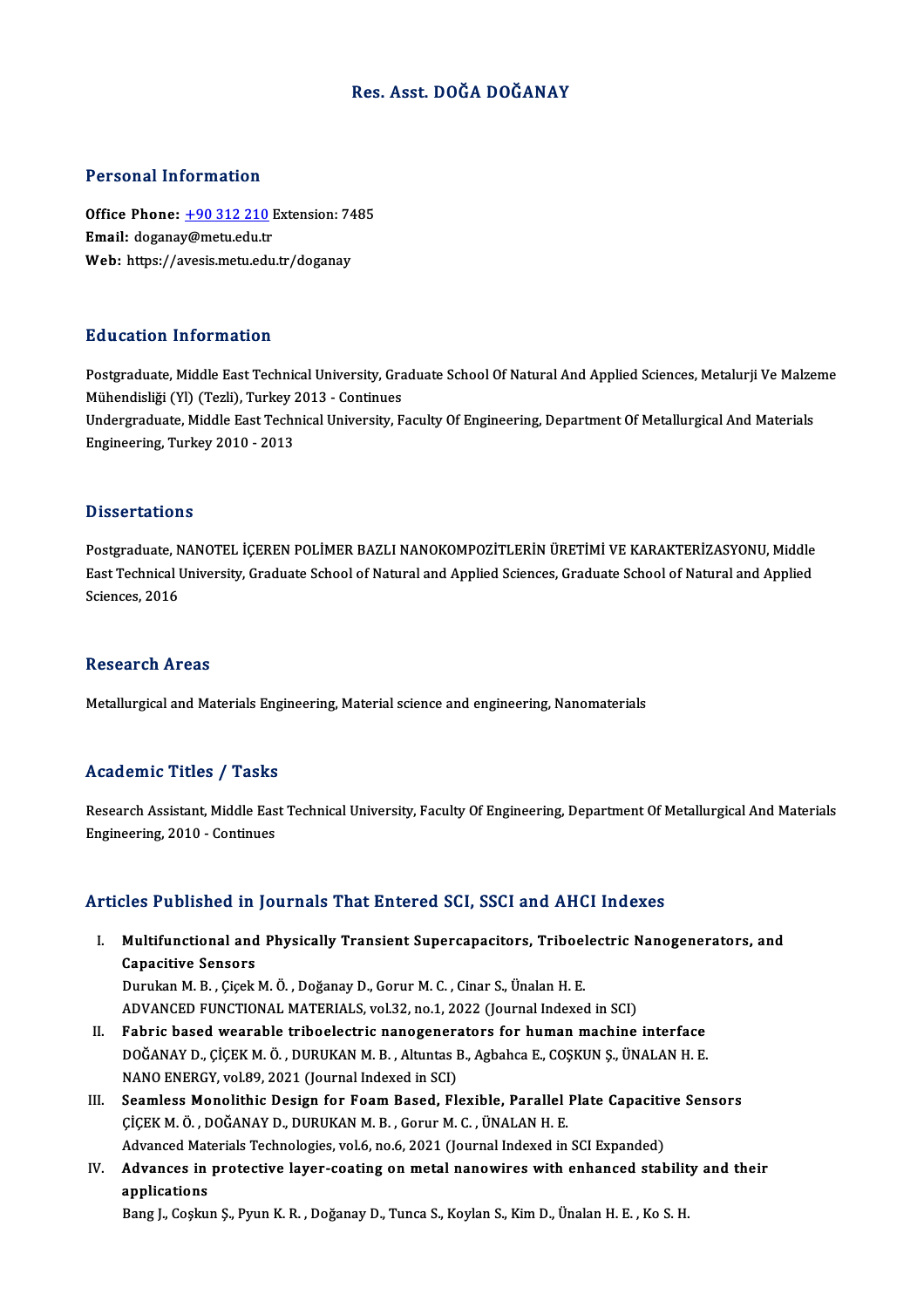# Res. Asst. DOĞA DOĞANAY

# Personal Information

Personal Information<br>Office Phone: <u>+90 312 210</u> Extension: 7485 Procedure interests<br>Office Phone: <u>+90 312 210</u> if<br>Email: dogana[y@metu.edu.tr](tel:+90 312 210) Office Phone: <u>+90 312 210</u> Extension: 74<br>Email: doganay@metu.edu.tr<br>Web: https://avesis.metu.edu.tr/doganay Web: https://avesis.metu.edu.tr/doganay<br>Education Information

Postgraduate, Middle East Technical University, Graduate School Of Natural And Applied Sciences, Metalurji Ve Malzeme Mühendisliği (Yl) (Tezli), Turkey<br>Mühendisliği (Yl) (Tezli), Turkey 2013 - Continues<br>Undergreduate Middle Fest Technical University, E Undergraduate, Middle East Technical University, Faculty Of Engineering, Department Of Metallurgical And Materials<br>Engineering, Turkey 2010 - 2013 Mühendisliği (Yl) (Tezli), Turkey 2<br>Undergraduate, Middle East Techr<br>Engineering, Turkey 2010 - 2013

## **Dissertations**

Dissertations<br>Postgraduate, NANOTEL İÇEREN POLİMER BAZLI NANOKOMPOZİTLERİN ÜRETİMİ VE KARAKTERİZASYONU, Middle<br>Fest Teshnisel University Creduate School of Natural and Annlied Sciences, Creduate School of Natural and Annli Easser tations<br>Postgraduate, NANOTEL İÇEREN POLİMER BAZLI NANOKOMPOZİTLERİN ÜRETİMİ VE KARAKTERİZASYONU, Middle<br>East Technical University, Graduate School of Natural and Applied Sciences, Graduate School of Natural and App Postgraduate, N<br>East Technical I<br>Sciences, 2016 Sciences, 2016<br>Research Areas

Metallurgical and Materials Engineering, Material science and engineering, Nanomaterials

# Academic Titles / Tasks

Academic Titles / Tasks<br>Research Assistant, Middle East Technical University, Faculty Of Engineering, Department Of Metallurgical And Materials<br>Engineering, 2010, Continues Engineering, 2010 - Continues<br>Engineering, 2010 - Continues

# Articles Published in Journals That Entered SCI, SSCI and AHCI Indexes

rticles Published in Journals That Entered SCI, SSCI and AHCI Indexes<br>I. Multifunctional and Physically Transient Supercapacitors, Triboelectric Nanogenerators, and<br>Canacitive Sonsors Multifunctional and<br>Multifunctional and<br>Capacitive Sensors<br>Durylm M. B. Cisek Capacitive Sensors<br>Durukan M. B. , Çiçek M. Ö. , Doğanay D., Gorur M. C. , Cinar S., Ünalan H. E.

ADVANCED FUNCTIONAL MATERIALS, vol.32, no.1, 2022 (Journal Indexed in SCI)

- II. Fabric based wearable triboelectric nanogenerators for human machine interface ADVANCED FUNCTIONAL MATERIALS, vol.32, no.1, 2022 (Journal Indexed in SCI)<br>Fabric based wearable triboelectric nanogenerators for human machine interface<br>DOĞANAY D., ÇİÇEK M. Ö. , DURUKAN M. B. , Altuntas B., Agbahca E., C Fabric based wearable triboelectric nanogenera<br>DOĞANAY D., ÇİÇEK M. Ö. , DURUKAN M. B. , Altuntas I<br>NANO ENERGY, vol.89, 2021 (Journal Indexed in SCI)<br>Seamlass Manolithis Design for Foam Based, Fl. DOĞANAY D., ÇİÇEK M. Ö., DURUKAN M. B., Altuntas B., Agbahca E., COŞKUN Ş., ÜNALAN H. E.<br>NANO ENERGY, vol.89, 2021 (Journal Indexed in SCI)<br>III. Seamless Monolithic Design for Foam Based, Flexible, Parallel Plate Capacitiv
- NANO ENERGY, vol.89, 2021 (Journal Indexed in SCI)<br>Seamless Monolithic Design for Foam Based, Flexible, Parallel<br>ÇİÇEK M. Ö., DOĞANAY D., DURUKAN M. B., Gorur M. C., ÜNALAN H. E.<br>Advanced Materials Technologies vol.6, no.6 Seamless Monolithic Design for Foam Based, Flexible, Parallel Plate Capacitiv<br>ÇİÇEK M. Ö. , DOĞANAY D., DURUKAN M. B. , Gorur M. C. , ÜNALAN H. E.<br>Advanced Materials Technologies, vol.6, no.6, 2021 (Journal Indexed in SCI Advanced Materials Technologies, vol.6, no.6, 2021 (Journal Indexed in SCI Expanded)
- CICEK M. Ö. , DOĞANAY D., DURUKAN M. B. , Gorur M. C. , ÜNALAN H. E.<br>Advanced Materials Technologies, vol.6, no.6, 2021 (Journal Indexed in SCI Expanded)<br>IV. Advances in protective layer-coating on metal nanowires with enh

Bang J., Coşkun Ş., Pyun K.R., Doğanay D., Tunca S., Koylan S., Kim D., Ünalan H.E., Ko S.H.